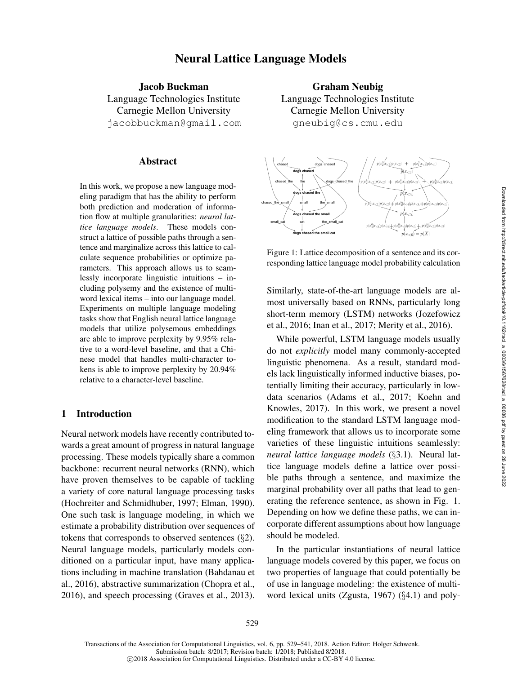# Neural Lattice Language Models

Jacob Buckman Language Technologies Institute Carnegie Mellon University jacobbuckman@gmail.com

### Abstract

In this work, we propose a new language modeling paradigm that has the ability to perform both prediction and moderation of information flow at multiple granularities: *neural lattice language models*. These models construct a lattice of possible paths through a sentence and marginalize across this lattice to calculate sequence probabilities or optimize parameters. This approach allows us to seamlessly incorporate linguistic intuitions – including polysemy and the existence of multiword lexical items – into our language model. Experiments on multiple language modeling tasks show that English neural lattice language models that utilize polysemous embeddings are able to improve perplexity by 9.95% relative to a word-level baseline, and that a Chinese model that handles multi-character tokens is able to improve perplexity by 20.94% relative to a character-level baseline.

# 1 Introduction

Neural network models have recently contributed towards a great amount of progress in natural language processing. These models typically share a common backbone: recurrent neural networks (RNN), which have proven themselves to be capable of tackling a variety of core natural language processing tasks (Hochreiter and Schmidhuber, 1997; Elman, 1990). One such task is language modeling, in which we estimate a probability distribution over sequences of tokens that corresponds to observed sentences (§2). Neural language models, particularly models conditioned on a particular input, have many applications including in machine translation (Bahdanau et al., 2016), abstractive summarization (Chopra et al., 2016), and speech processing (Graves et al., 2013).

Graham Neubig Language Technologies Institute Carnegie Mellon University gneubig@cs.cmu.edu



Figure 1: Lattice decomposition of a sentence and its corresponding lattice language model probability calculation

Similarly, state-of-the-art language models are almost universally based on RNNs, particularly long short-term memory (LSTM) networks (Jozefowicz et al., 2016; Inan et al., 2017; Merity et al., 2016).

While powerful, LSTM language models usually do not *explicitly* model many commonly-accepted linguistic phenomena. As a result, standard models lack linguistically informed inductive biases, potentially limiting their accuracy, particularly in lowdata scenarios (Adams et al., 2017; Koehn and Knowles, 2017). In this work, we present a novel modification to the standard LSTM language modeling framework that allows us to incorporate some varieties of these linguistic intuitions seamlessly: *neural lattice language models* (§3.1). Neural lattice language models define a lattice over possible paths through a sentence, and maximize the marginal probability over all paths that lead to generating the reference sentence, as shown in Fig. 1. Depending on how we define these paths, we can incorporate different assumptions about how language should be modeled.

In the particular instantiations of neural lattice language models covered by this paper, we focus on two properties of language that could potentially be of use in language modeling: the existence of multiword lexical units (Zgusta, 1967) (§4.1) and poly-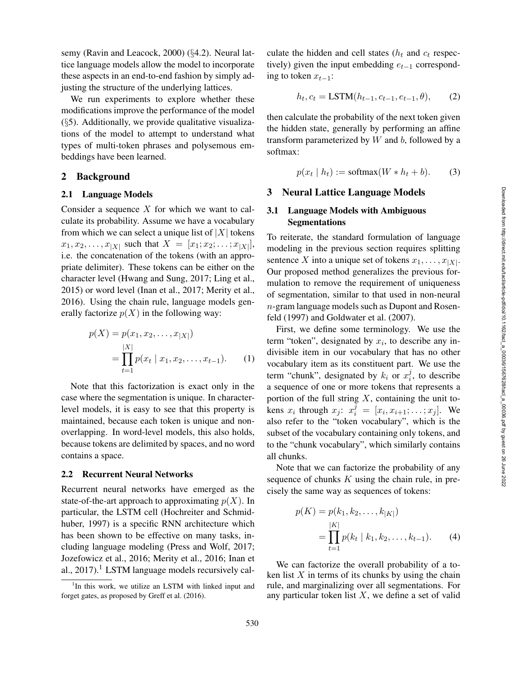semy (Ravin and Leacock, 2000) ( §4.2). Neural lattice language models allow the model to incorporate these aspects in an end-to-end fashion by simply adjusting the structure of the underlying lattices.

We run experiments to explore whether these modifications improve the performance of the model  $(\S 5)$ . Additionally, we provide qualitative visualizations of the model to attempt to understand what types of multi-token phrases and polysemous embeddings have been learned.

### 2 Background

#### 2.1 Language Models

Consider a sequence  $X$  for which we want to calculate its probability. Assume we have a vocabulary from which we can select a unique list of  $|X|$  tokens  $x_1, x_2, \dots, x_{|X|}$  such that  $X = [x_1; x_2; \dots; x_{|X|}]$ , i.e. the concatenation of the tokens (with an appropriate delimiter). These tokens can be either on the character level (Hwang and Sung, 2017; Ling et al., 2015) or word level (Inan et al., 2017; Merity et al., 2016). Using the chain rule, language models generally factorize  $p(X)$  in the following way:

$$
p(X) = p(x_1, x_2, \dots, x_{|X|})
$$
  
= 
$$
\prod_{t=1}^{|X|} p(x_t | x_1, x_2, \dots, x_{t-1}).
$$
 (1)

Note that this factorization is exact only in the case where the segmentation is unique. In characterlevel models, it is easy to see that this property is maintained, because each token is unique and nonoverlapping. In word-level models, this also holds, because tokens are delimited by spaces, and no word contains a space.

### 2.2 Recurrent Neural Networks

Recurrent neural networks have emerged as the state-of-the-art approach to approximating  $p(X)$ . In particular, the LSTM cell (Hochreiter and Schmidhuber, 1997) is a specific RNN architecture which has been shown to be effective on many tasks, including language modeling (Press and Wolf, 2017; Jozefowicz et al., 2016; Merity et al., 2016; Inan et al., 2017).<sup>1</sup> LSTM language models recursively cal-

culate the hidden and cell states  $(h_t$  and  $c_t$  respectively) given the input embedding  $e_{t-1}$  corresponding to token  $x_{t-1}$ :

$$
h_t, c_t = \text{LSTM}(h_{t-1}, c_{t-1}, e_{t-1}, \theta), \tag{2}
$$

then calculate the probability of the next token given the hidden state, generally by performing an affine transform parameterized by  $W$  and  $b$ , followed by a softmax:

$$
p(x_t | h_t) := \text{softmax}(W * h_t + b). \tag{3}
$$

#### 3 Neural Lattice Language Models

### 3.1 Language Models with Ambiguous Segmentations

To reiterate, the standard formulation of language modeling in the previous section requires splitting sentence X into a unique set of tokens  $x_1, \ldots, x_{|X|}$ . Our proposed method generalizes the previous formulation to remove the requirement of uniqueness of segmentation, similar to that used in non-neural n-gram language models such as Dupont and Rosenfeld (1997) and Goldwater et al. (2007).

First, we define some terminology. We use the term "token", designated by  $x_i$ , to describe any indivisible item in our vocabulary that has no other vocabulary item as its constituent part. We use the term "chunk", designated by  $k_i$  or  $x_i^j$ , to describe a sequence of one or more tokens that represents a portion of the full string  $X$ , containing the unit tokens  $x_i$  through  $x_j$ :  $x_i^j = [x_i, x_{i+1}; \ldots; x_j]$ . We also refer to the "token vocabulary", which is the subset of the vocabulary containing only tokens, and to the "chunk vocabulary", which similarly contains all chunks.

Note that we can factorize the probability of any sequence of chunks  $K$  using the chain rule, in precisely the same way as sequences of tokens:

$$
p(K) = p(k_1, k_2, \dots, k_{|K|})
$$
  
= 
$$
\prod_{t=1}^{|K|} p(k_t | k_1, k_2, \dots, k_{t-1}).
$$
 (4)

We can factorize the overall probability of a token list  $X$  in terms of its chunks by using the chain rule, and marginalizing over all segmentations. For any particular token list  $X$ , we define a set of valid

<sup>&</sup>lt;sup>1</sup>In this work, we utilize an LSTM with linked input and forget gates, as proposed by Greff et al. (2016).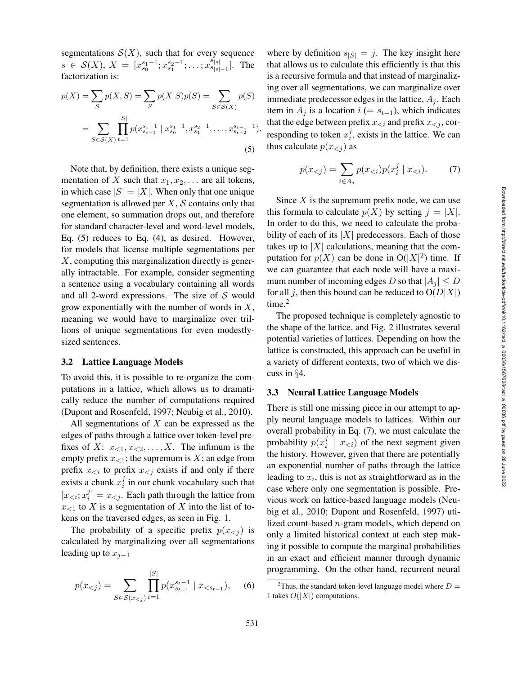segmentations  $S(X)$ , such that for every sequence  $s \in \mathcal{S}(X), X = [x_{s_0}^{s_1-1}; x_{s_1}^{s_2-1}; \ldots; x_{s_{|s|-1}}^{s_{|s|}}]$ ]. The factorization is:

$$
p(X) = \sum_{S} p(X, S) = \sum_{S} p(X|S)p(S) = \sum_{S \in S(X)} p(S)
$$

$$
= \sum_{S \in S(X)} \prod_{t=1}^{|S|} p(x_{s_{t-1}}^{s_t-1} | x_{s_0}^{s_1-1}, x_{s_1}^{s_2-1}, \dots, x_{s_{t-2}}^{s_{t-1}-1})
$$
(5)

.

Note that, by definition, there exists a unique segmentation of X such that  $x_1, x_2, \ldots$  are all tokens, in which case  $|S| = |X|$ . When only that one unique segmentation is allowed per  $X$ ,  $S$  contains only that one element, so summation drops out, and therefore for standard character-level and word-level models, Eq. (5) reduces to Eq. (4), as desired. However, for models that license multiple segmentations per  $X$ , computing this marginalization directly is generally intractable. For example, consider segmenting a sentence using a vocabulary containing all words and all 2-word expressions. The size of  $S$  would grow exponentially with the number of words in  $X$ , meaning we would have to marginalize over trillions of unique segmentations for even modestlysized sentences.

#### 3.2 Lattice Language Models

To avoid this, it is possible to re-organize the computations in a lattice, which allows us to dramatically reduce the number of computations required (Dupont and Rosenfeld, 1997; Neubig et al., 2010).

All segmentations of  $X$  can be expressed as the edges of paths through a lattice over token-level prefixes of X:  $x_{\leq 1}, x_{\leq 2}, \ldots, X$ . The infimum is the empty prefix  $x_{\leq 1}$ ; the supremum is X; an edge from prefix  $x_{\leq i}$  to prefix  $x_{\leq j}$  exists if and only if there exists a chunk  $x_i^j$  in our chunk vocabulary such that  $[x_{\leq i}; x_i^j] = x_{\leq j}$ . Each path through the lattice from  $x_{\leq 1}$  to X is a segmentation of X into the list of tokens on the traversed edges, as seen in Fig. 1.

The probability of a specific prefix  $p(x_{\le j})$  is calculated by marginalizing over all segmentations leading up to  $x_{j-1}$ 

$$
p(x_{<})=\sum_{S\in\mathcal{S}(x_{<}j)}\prod_{t=1}^{|S|}p(x_{s_{t-1}}^{s_t-1} \mid x_{< s_{t-1}}),\quad (6)
$$

where by definition  $s_{|S|} = j$ . The key insight here that allows us to calculate this efficiently is that this is a recursive formula and that instead of marginalizing over all segmentations, we can marginalize over immediate predecessor edges in the lattice,  $A_j$ . Each item in  $A_j$  is a location  $i (= s_{t-1})$ , which indicates that the edge between prefix  $x_{\leq i}$  and prefix  $x_{\leq j}$ , corresponding to token  $x_i^j$ , exists in the lattice. We can thus calculate  $p(x_{< j})$  as

$$
p(x_{<})=\sum_{i\in A_j}p(x_{<})p(x_i^j\mid x_{<}). \hspace{1cm} (7)
$$

Since  $X$  is the supremum prefix node, we can use this formula to calculate  $p(X)$  by setting  $j = |X|$ . In order to do this, we need to calculate the probability of each of its  $|X|$  predecessors. Each of those takes up to  $|X|$  calculations, meaning that the computation for  $p(X)$  can be done in  $O(|X|^2)$  time. If we can guarantee that each node will have a maximum number of incoming edges D so that  $|A_i| \leq D$ for all j, then this bound can be reduced to  $O(D|X|)$ time. 2

The proposed technique is completely agnostic to the shape of the lattice, and Fig. 2 illustrates several potential varieties of lattices. Depending on how the lattice is constructed, this approach can be useful in a variety of different contexts, two of which we discuss in §4.

### 3.3 Neural Lattice Language Models

There is still one missing piece in our attempt to apply neural language models to lattices. Within our overall probability in Eq. (7), we must calculate the probability  $p(x_i^j \mid x_{\leq i})$  of the next segment given the history. However, given that there are potentially an exponential number of paths through the lattice leading to  $x_i$ , this is not as straightforward as in the case where only one segmentation is possible. Previous work on lattice-based language models (Neubig et al., 2010; Dupont and Rosenfeld, 1997) utilized count-based n-gram models, which depend on only a limited historical context at each step making it possible to compute the marginal probabilities in an exact and efficient manner through dynamic programming. On the other hand, recurrent neural

<sup>&</sup>lt;sup>2</sup>Thus, the standard token-level language model where  $D =$ 1 takes  $O(|X|)$  computations.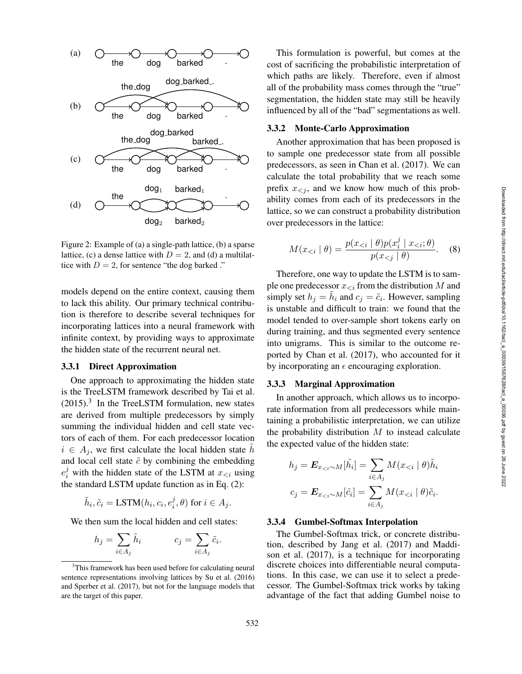

Figure 2: Example of (a) a single-path lattice, (b) a sparse lattice, (c) a dense lattice with  $D = 2$ , and (d) a multilattice with  $D = 2$ , for sentence "the dog barked."

models depend on the entire context, causing them to lack this ability. Our primary technical contribution is therefore to describe several techniques for incorporating lattices into a neural framework with infinite context, by providing ways to approximate the hidden state of the recurrent neural net.

### 3.3.1 Direct Approximation

One approach to approximating the hidden state is the TreeLSTM framework described by Tai et al. (2015). 3 In the TreeLSTM formulation, new states are derived from multiple predecessors by simply summing the individual hidden and cell state vectors of each of them. For each predecessor location  $i \in A_i$ , we first calculate the local hidden state h and local cell state  $\tilde{c}$  by combining the embedding  $e_i^j$  with the hidden state of the LSTM at  $x_{\leq i}$  using the standard LSTM update function as in Eq. (2):

$$
\tilde{h}_i, \tilde{c}_i = \text{LSTM}(h_i, c_i, e_i^j, \theta) \text{ for } i \in A_j.
$$

We then sum the local hidden and cell states:

$$
h_j = \sum_{i \in A_j} \tilde{h}_i \qquad c_j = \sum_{i \in A_j} \tilde{c}_i.
$$

This formulation is powerful, but comes at the cost of sacrificing the probabilistic interpretation of which paths are likely. Therefore, even if almost all of the probability mass comes through the "true" segmentation, the hidden state may still be heavily influenced by all of the "bad" segmentations as well.

#### 3.3.2 Monte-Carlo Approximation

Another approximation that has been proposed is to sample one predecessor state from all possible predecessors, as seen in Chan et al. (2017). We can calculate the total probability that we reach some prefix  $x_{\leq j}$ , and we know how much of this probability comes from each of its predecessors in the lattice, so we can construct a probability distribution over predecessors in the lattice:

$$
M(x_{<} | \theta) = \frac{p(x_{<} | \theta)p(x_i^j | x_{<} ; \theta)}{p(x_{<} | \theta)}.\tag{8}
$$

Therefore, one way to update the LSTM is to sample one predecessor  $x_{\leq i}$  from the distribution M and simply set  $h_j = \tilde{h}_i$  and  $c_j = \tilde{c}_i$ . However, sampling is unstable and difficult to train: we found that the model tended to over-sample short tokens early on during training, and thus segmented every sentence into unigrams. This is similar to the outcome reported by Chan et al. (2017), who accounted for it by incorporating an  $\epsilon$  encouraging exploration.

### 3.3.3 Marginal Approximation

In another approach, which allows us to incorporate information from all predecessors while maintaining a probabilistic interpretation, we can utilize the probability distribution  $M$  to instead calculate the expected value of the hidden state:

$$
h_j = \boldsymbol{E}_{x < i} \sim M[\tilde{h}_i] = \sum_{i \in A_j} M(x < i \mid \theta) \tilde{h}_i
$$
\n
$$
c_j = \boldsymbol{E}_{x < i} \sim M[\tilde{c}_i] = \sum_{i \in A_j} M(x < i \mid \theta) \tilde{c}_i.
$$

#### 3.3.4 Gumbel-Softmax Interpolation

The Gumbel-Softmax trick, or concrete distribution, described by Jang et al. (2017) and Maddison et al. (2017), is a technique for incorporating discrete choices into differentiable neural computations. In this case, we can use it to select a predecessor. The Gumbel-Softmax trick works by taking advantage of the fact that adding Gumbel noise to

<sup>&</sup>lt;sup>3</sup>This framework has been used before for calculating neural sentence representations involving lattices by Su et al. (2016) and Sperber et al. (2017), but not for the language models that are the target of this paper.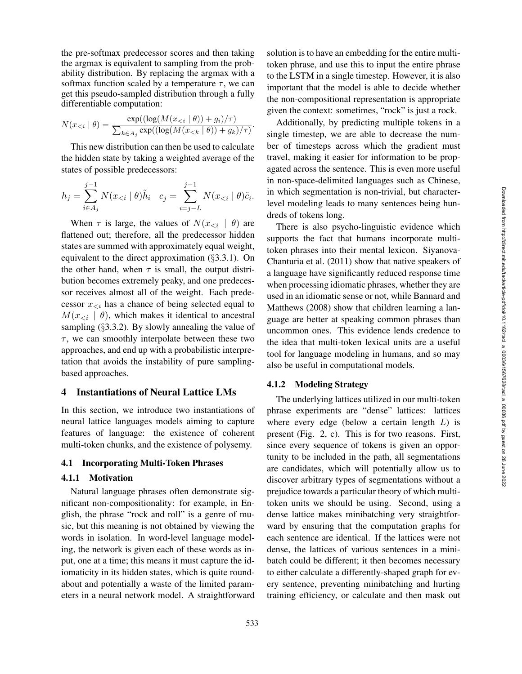the pre-softmax predecessor scores and then taking the argmax is equivalent to sampling from the probability distribution. By replacing the argmax with a softmax function scaled by a temperature  $\tau$ , we can get this pseudo-sampled distribution through a fully differentiable computation:

$$
N(x_{< i} | \theta) = \frac{\exp((\log(M(x_{< i} | \theta)) + g_i)/\tau)}{\sum_{k \in A_j} \exp((\log(M(x_{< k} | \theta)) + g_k)/\tau)}
$$

.

This new distribution can then be used to calculate the hidden state by taking a weighted average of the states of possible predecessors:

$$
h_j = \sum_{i \in A_j}^{j-1} N(x_{< i} \mid \theta) \tilde{h}_i \quad c_j = \sum_{i=j-L}^{j-1} N(x_{< i} \mid \theta) \tilde{c}_i.
$$

When  $\tau$  is large, the values of  $N(x_{\leq i} | \theta)$  are flattened out; therefore, all the predecessor hidden states are summed with approximately equal weight, equivalent to the direct approximation ( §3.3.1). On the other hand, when  $\tau$  is small, the output distribution becomes extremely peaky, and one predecessor receives almost all of the weight. Each predecessor  $x_{\leq i}$  has a chance of being selected equal to  $M(x_{\leq i} \mid \theta)$ , which makes it identical to ancestral sampling ( §3.3.2). By slowly annealing the value of  $\tau$ , we can smoothly interpolate between these two approaches, and end up with a probabilistic interpretation that avoids the instability of pure samplingbased approaches.

# 4 Instantiations of Neural Lattice LMs

In this section, we introduce two instantiations of neural lattice languages models aiming to capture features of language: the existence of coherent multi-token chunks, and the existence of polysemy.

### 4.1 Incorporating Multi-Token Phrases

#### 4.1.1 Motivation

Natural language phrases often demonstrate significant non-compositionality: for example, in English, the phrase "rock and roll" is a genre of music, but this meaning is not obtained by viewing the words in isolation. In word-level language modeling, the network is given each of these words as input, one at a time; this means it must capture the idiomaticity in its hidden states, which is quite roundabout and potentially a waste of the limited parameters in a neural network model. A straightforward solution is to have an embedding for the entire multitoken phrase, and use this to input the entire phrase to the LSTM in a single timestep. However, it is also important that the model is able to decide whether the non-compositional representation is appropriate given the context: sometimes, "rock" is just a rock.

Additionally, by predicting multiple tokens in a single timestep, we are able to decrease the number of timesteps across which the gradient must travel, making it easier for information to be propagated across the sentence. This is even more useful in non-space-delimited languages such as Chinese, in which segmentation is non-trivial, but characterlevel modeling leads to many sentences being hundreds of tokens long.

There is also psycho-linguistic evidence which supports the fact that humans incorporate multitoken phrases into their mental lexicon. Siyanova-Chanturia et al. (2011) show that native speakers of a language have significantly reduced response time when processing idiomatic phrases, whether they are used in an idiomatic sense or not, while Bannard and Matthews (2008) show that children learning a language are better at speaking common phrases than uncommon ones. This evidence lends credence to the idea that multi-token lexical units are a useful tool for language modeling in humans, and so may also be useful in computational models.

### 4.1.2 Modeling Strategy

The underlying lattices utilized in our multi-token phrase experiments are "dense" lattices: lattices where every edge (below a certain length  $L$ ) is present (Fig. 2, c). This is for two reasons. First, since every sequence of tokens is given an opportunity to be included in the path, all segmentations are candidates, which will potentially allow us to discover arbitrary types of segmentations without a prejudice towards a particular theory of which multitoken units we should be using. Second, using a dense lattice makes minibatching very straightforward by ensuring that the computation graphs for each sentence are identical. If the lattices were not dense, the lattices of various sentences in a minibatch could be different; it then becomes necessary to either calculate a differently-shaped graph for every sentence, preventing minibatching and hurting training efficiency, or calculate and then mask out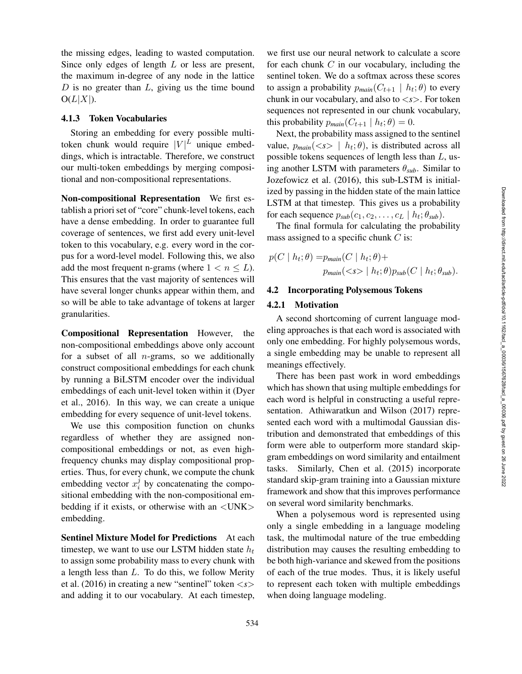the missing edges, leading to wasted computation. Since only edges of length  $L$  or less are present, the maximum in-degree of any node in the lattice  $D$  is no greater than  $L$ , giving us the time bound  $O(L|X|)$ .

#### 4.1.3 Token Vocabularies

Storing an embedding for every possible multitoken chunk would require  $|V|^L$  unique embeddings, which is intractable. Therefore, we construct our multi-token embeddings by merging compositional and non-compositional representations.

Non-compositional Representation We first establish a priori set of "core" chunk-level tokens, each have a dense embedding. In order to guarantee full coverage of sentences, we first add every unit-level token to this vocabulary, e.g. every word in the corpus for a word-level model. Following this, we also add the most frequent n-grams (where  $1 < n \leq L$ ). This ensures that the vast majority of sentences will have several longer chunks appear within them, and so will be able to take advantage of tokens at larger granularities.

Compositional Representation However, the non-compositional embeddings above only account for a subset of all  $n$ -grams, so we additionally construct compositional embeddings for each chunk by running a BiLSTM encoder over the individual embeddings of each unit-level token within it (Dyer et al., 2016). In this way, we can create a unique embedding for every sequence of unit-level tokens.

We use this composition function on chunks regardless of whether they are assigned noncompositional embeddings or not, as even highfrequency chunks may display compositional properties. Thus, for every chunk, we compute the chunk embedding vector  $x_i^j$  by concatenating the compositional embedding with the non-compositional embedding if it exists, or otherwise with an <UNK> embedding.

Sentinel Mixture Model for Predictions At each timestep, we want to use our LSTM hidden state  $h_t$ to assign some probability mass to every chunk with a length less than L. To do this, we follow Merity et al. (2016) in creating a new "sentinel" token < *s* > and adding it to our vocabulary. At each timestep, we first use our neural network to calculate a score for each chunk C in our vocabulary, including the sentinel token. We do a softmax across these scores to assign a probability  $p_{main}(C_{t+1} \mid h_t; \theta)$  to every chunk in our vocabulary, and also to < *s* >. For token sequences not represented in our chunk vocabulary, this probability  $p_{main}(C_{t+1} | h_t; \theta) = 0.$ 

Next, the probability mass assigned to the sentinel value,  $p_{main}(< s>l$ ,  $h_t; \theta)$ , is distributed across all possible tokens sequences of length less than L, using another LSTM with parameters  $\theta_{sub}$ . Similar to Jozefowicz et al. (2016), this sub-LSTM is initialized by passing in the hidden state of the main lattice LSTM at that timestep. This gives us a probability for each sequence  $p_{sub}(c_1, c_2, \ldots, c_L | h_t; \theta_{sub}).$ 

The final formula for calculating the probability mass assigned to a specific chunk  $C$  is:

$$
p(C \mid h_t; \theta) = p_{main}(C \mid h_t; \theta) +
$$
  
\n
$$
p_{main}(~~h_t; \theta) p_{sub}(C \mid h_t; \theta_{sub}).~~
$$

### 4.2 Incorporating Polysemous Tokens

### 4.2.1 Motivation

A second shortcoming of current language modeling approaches is that each word is associated with only one embedding. For highly polysemous words, a single embedding may be unable to represent all meanings effectively.

There has been past work in word embeddings which has shown that using multiple embeddings for each word is helpful in constructing a useful representation. Athiwaratkun and Wilson (2017) represented each word with a multimodal Gaussian distribution and demonstrated that embeddings of this form were able to outperform more standard skipgram embeddings on word similarity and entailment tasks. Similarly, Chen et al. (2015) incorporate standard skip-gram training into a Gaussian mixture framework and show that this improves performance on several word similarity benchmarks.

When a polysemous word is represented using only a single embedding in a language modeling task, the multimodal nature of the true embedding distribution may causes the resulting embedding to be both high-variance and skewed from the positions of each of the true modes. Thus, it is likely useful to represent each token with multiple embeddings when doing language modeling.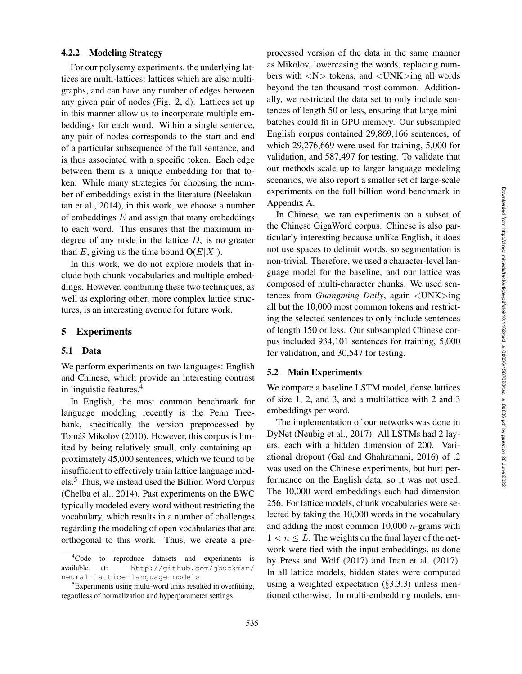#### 4.2.2 Modeling Strategy

For our polysemy experiments, the underlying lattices are multi-lattices: lattices which are also multigraphs, and can have any number of edges between any given pair of nodes (Fig. 2, d). Lattices set up in this manner allow us to incorporate multiple embeddings for each word. Within a single sentence, any pair of nodes corresponds to the start and end of a particular subsequence of the full sentence, and is thus associated with a specific token. Each edge between them is a unique embedding for that token. While many strategies for choosing the number of embeddings exist in the literature (Neelakantan et al., 2014), in this work, we choose a number of embeddings  $E$  and assign that many embeddings to each word. This ensures that the maximum indegree of any node in the lattice  $D$ , is no greater than E, giving us the time bound  $O(E|X|)$ .

In this work, we do not explore models that include both chunk vocabularies and multiple embeddings. However, combining these two techniques, as well as exploring other, more complex lattice structures, is an interesting avenue for future work.

# 5 Experiments

### 5.1 Data

We perform experiments on two languages: English and Chinese, which provide an interesting contrast in linguistic features. 4

In English, the most common benchmark for language modeling recently is the Penn Treebank, specifically the version preprocessed by Tomáš Mikolov (2010). However, this corpus is limited by being relatively small, only containing approximately 45,000 sentences, which we found to be insufficient to effectively train lattice language models.<sup>5</sup> Thus, we instead used the Billion Word Corpus (Chelba et al., 2014). Past experiments on the BWC typically modeled every word without restricting the vocabulary, which results in a number of challenges regarding the modeling of open vocabularies that are orthogonal to this work. Thus, we create a preprocessed version of the data in the same manner as Mikolov, lowercasing the words, replacing numbers with  $\langle N \rangle$  tokens, and  $\langle UNK \rangle$ ing all words beyond the ten thousand most common. Additionally, we restricted the data set to only include sentences of length 50 or less, ensuring that large minibatches could fit in GPU memory. Our subsampled English corpus contained 29,869,166 sentences, of which 29,276,669 were used for training, 5,000 for validation, and 587,497 for testing. To validate that our methods scale up to larger language modeling scenarios, we also report a smaller set of large-scale experiments on the full billion word benchmark in Appendix A.

In Chinese, we ran experiments on a subset of the Chinese GigaWord corpus. Chinese is also particularly interesting because unlike English, it does not use spaces to delimit words, so segmentation is non-trivial. Therefore, we used a character-level language model for the baseline, and our lattice was composed of multi-character chunks. We used sentences from *Guangming Daily*, again <UNK>ing all but the 10,000 most common tokens and restricting the selected sentences to only include sentences of length 150 or less. Our subsampled Chinese corpus included 934,101 sentences for training, 5,000 for validation, and 30,547 for testing.

#### 5.2 Main Experiments

We compare a baseline LSTM model, dense lattices of size 1, 2, and 3, and a multilattice with 2 and 3 embeddings per word.

The implementation of our networks was done in DyNet (Neubig et al., 2017). All LSTMs had 2 layers, each with a hidden dimension of 200. Variational dropout (Gal and Ghahramani, 2016) of .2 was used on the Chinese experiments, but hurt performance on the English data, so it was not used. The 10,000 word embeddings each had dimension 256. For lattice models, chunk vocabularies were selected by taking the 10,000 words in the vocabulary and adding the most common  $10,000$  *n*-grams with  $1 < n \leq L$ . The weights on the final layer of the network were tied with the input embeddings, as done by Press and Wolf (2017) and Inan et al. (2017). In all lattice models, hidden states were computed using a weighted expectation ( §3.3.3) unless mentioned otherwise. In multi-embedding models, em-

<sup>&</sup>lt;sup>4</sup>Code to reproduce datasets and experiments is available at: http://github.com/jbuckman/ neural-lattice-language-models

<sup>&</sup>lt;sup>5</sup>Experiments using multi-word units resulted in overfitting, regardless of normalization and hyperparameter settings.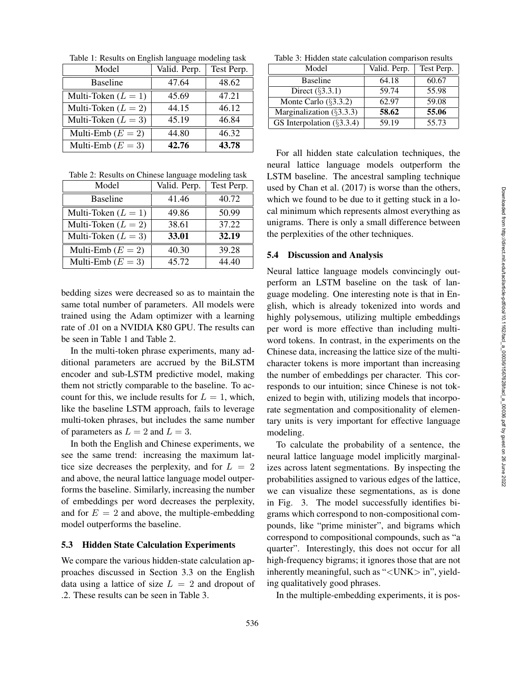Table 1: Results on English language modeling task

| Model                 | Valid. Perp. | Test Perp. |
|-----------------------|--------------|------------|
| <b>Baseline</b>       | 47.64        | 48.62      |
| Multi-Token $(L = 1)$ | 45.69        | 47.21      |
| Multi-Token $(L = 2)$ | 44.15        | 46.12      |
| Multi-Token $(L = 3)$ | 45.19        | 46.84      |
| Multi-Emb $(E = 2)$   | 44.80        | 46.32      |
| Multi-Emb $(E = 3)$   | 42.76        | 43.78      |

Table 2: Results on Chinese language modeling task

| Model                 | Valid. Perp. | Test Perp. |
|-----------------------|--------------|------------|
| <b>Baseline</b>       | 41.46        | 40.72      |
| Multi-Token $(L = 1)$ | 49.86        | 50.99      |
| Multi-Token $(L = 2)$ | 38.61        | 37.22      |
| Multi-Token $(L = 3)$ | 33.01        | 32.19      |
| Multi-Emb $(E = 2)$   | 40.30        | 39.28      |
| Multi-Emb $(E = 3)$   | 45.72        | 44.40      |

bedding sizes were decreased so as to maintain the same total number of parameters. All models were trained using the Adam optimizer with a learning rate of .01 on a NVIDIA K80 GPU. The results can be seen in Table 1 and Table 2.

In the multi-token phrase experiments, many additional parameters are accrued by the BiLSTM encoder and sub-LSTM predictive model, making them not strictly comparable to the baseline. To account for this, we include results for  $L = 1$ , which, like the baseline LSTM approach, fails to leverage multi-token phrases, but includes the same number of parameters as  $L = 2$  and  $L = 3$ .

In both the English and Chinese experiments, we see the same trend: increasing the maximum lattice size decreases the perplexity, and for  $L = 2$ and above, the neural lattice language model outperforms the baseline. Similarly, increasing the number of embeddings per word decreases the perplexity, and for  $E = 2$  and above, the multiple-embedding model outperforms the baseline.

### 5.3 Hidden State Calculation Experiments

We compare the various hidden-state calculation approaches discussed in Section 3.3 on the English data using a lattice of size  $L = 2$  and dropout of .2. These results can be seen in Table 3.

Table 3: Hidden state calculation comparison results

| Model                        | Valid. Perp. | Test Perp. |
|------------------------------|--------------|------------|
| <b>Baseline</b>              | 64.18        | 60.67      |
| Direct $(\S 3.3.1)$          | 59.74        | 55.98      |
| Monte Carlo $(\S 3.3.2)$     | 62.97        | 59.08      |
| Marginalization $(\S 3.3.3)$ | 58.62        | 55.06      |
| GS Interpolation $(\S3.3.4)$ | 59.19        | 55.73      |

For all hidden state calculation techniques, the neural lattice language models outperform the LSTM baseline. The ancestral sampling technique used by Chan et al. (2017) is worse than the others, which we found to be due to it getting stuck in a local minimum which represents almost everything as unigrams. There is only a small difference between the perplexities of the other techniques.

#### 5.4 Discussion and Analysis

Neural lattice language models convincingly outperform an LSTM baseline on the task of language modeling. One interesting note is that in English, which is already tokenized into words and highly polysemous, utilizing multiple embeddings per word is more effective than including multiword tokens. In contrast, in the experiments on the Chinese data, increasing the lattice size of the multicharacter tokens is more important than increasing the number of embeddings per character. This corresponds to our intuition; since Chinese is not tokenized to begin with, utilizing models that incorporate segmentation and compositionality of elementary units is very important for effective language modeling.

To calculate the probability of a sentence, the neural lattice language model implicitly marginalizes across latent segmentations. By inspecting the probabilities assigned to various edges of the lattice, we can visualize these segmentations, as is done in Fig. 3. The model successfully identifies bigrams which correspond to non-compositional compounds, like "prime minister", and bigrams which correspond to compositional compounds, such as "a quarter". Interestingly, this does not occur for all high-frequency bigrams; it ignores those that are not inherently meaningful, such as " <UNK > in", yielding qualitatively good phrases.

In the multiple-embedding experiments, it is pos-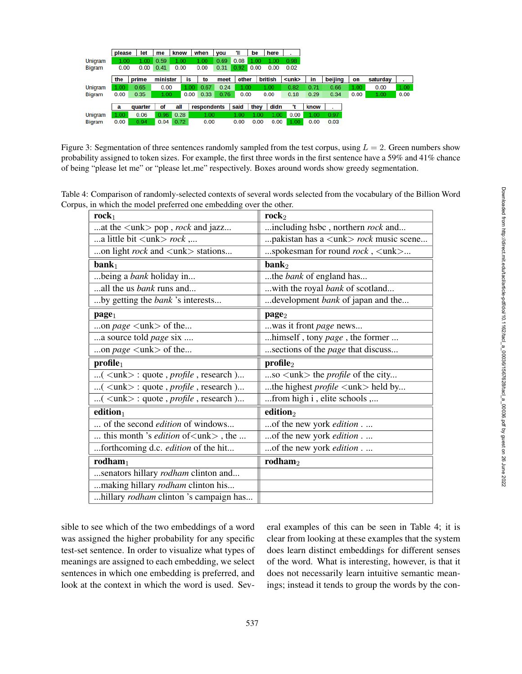|               | please | let     | me       | know |      | when        | vou  | ш     | be                | here           |       |      |              |      |          |      |
|---------------|--------|---------|----------|------|------|-------------|------|-------|-------------------|----------------|-------|------|--------------|------|----------|------|
| Unigram       | 1.00   | 1.00    | 0.59     | 1.00 |      | 1.00        | 0.69 | 0.08  | 1.00              | 1.00           | 0.98  |      |              |      |          |      |
| <b>Bigram</b> | 0.00   | 0.00    | 0.41     | 0.00 |      | 0.00        | 0.31 | 0.92  | $\overline{0.00}$ | 0.00           | 0.02  |      |              |      |          |      |
|               | the    | prime   | minister |      | İS   | to          | meet | other |                   | <b>british</b> | $unk$ | in   | beijing      | on   | saturday |      |
|               |        |         |          |      |      |             |      |       |                   |                |       |      |              |      |          | ۰    |
| Unigram       | 1.00   | 0.65    | 0.00     |      | 1.00 | 0.67        | 0.24 | 1.00  |                   | 1.00           | 0.82  | 0.71 | 0.66         | 1.00 | 0.00     | 1.00 |
| <b>Bigram</b> | 0.00   | 0.35    | 1.00     |      | 0.00 | 0.33        | 0.76 | 0.00  |                   | 0.00           | 0.18  | 0.29 | 0.34         | 0.00 | 1.00     | 0.00 |
|               |        |         |          |      |      |             |      |       |                   |                |       |      |              |      |          |      |
|               | a      | quarter | οf       | all  |      | respondents |      | said  | they              | didn           | 'n    | know | $\mathbf{r}$ |      |          |      |
| Unigram       | 1.00   | 0.06    | 0.96     | 0.28 |      | 1.00        |      | 1.00  | 1.00              | 1.00           | 0.00  | 1.00 | 0.97         |      |          |      |
| <b>Bigram</b> | 0.00   | 0.94    | 0.04     | 0.72 |      | 0.00        |      | 0.00  | 0.00              | 0.00           | 1.00  | 0.00 | 0.03         |      |          |      |

Figure 3: Segmentation of three sentences randomly sampled from the test corpus, using  $L = 2$ . Green numbers show probability assigned to token sizes. For example, the first three words in the first sentence have a 59% and 41% chance of being "please let me" or "please let me" respectively. Boxes around words show greedy segmentation.

Table 4: Comparison of randomly-selected contexts of several words selected from the vocabulary of the Billion Word Corpus, in which the model preferred one embedding over the other.

| rock <sub>1</sub>                                                             | rock <sub>2</sub>                                              |
|-------------------------------------------------------------------------------|----------------------------------------------------------------|
| at the $\langle$ unk $>$ pop, <i>rock</i> and jazz                            | including hsbc, northern rock and                              |
| a little bit $\langle$ unk $\rangle$ <i>rock</i> ,                            | pakistan has a $\langle$ unk $\rangle$ <i>rock</i> music scene |
| on light <i>rock</i> and <unk> stations</unk>                                 | spokesman for round $rock$ , $\langle$ unk $\rangle$           |
| $\mathbf{bank}_1$                                                             | $\mathbf{bank}_2$                                              |
| being a <i>bank</i> holiday in                                                | the <i>bank</i> of england has                                 |
| all the us <i>bank</i> runs and                                               | with the royal <i>bank</i> of scotland                         |
| by getting the <i>bank</i> 's interests                                       | development <i>bank</i> of japan and the                       |
| page <sub>1</sub>                                                             | $\mathbf{page}_2$                                              |
| on <i>page</i> $\langle$ unk $\rangle$ of the                                 | was it front page news                                         |
| a source told <i>page</i> six                                                 | himself, tony page, the former                                 |
| on $page$ <unk> of the</unk>                                                  | sections of the <i>page</i> that discuss                       |
| $\mathbf{profile}_1$                                                          | $\mathbf{profile}_2$                                           |
| $(\langle \text{unk}\rangle : \text{quote}, \text{profile}, \text{research})$ | so $\langle$ unk $>$ the <i>profile</i> of the city            |
| $(\langle \text{unk}\rangle : \text{quote}, \text{profile}, \text{research})$ | the highest $profile \langle \text{unk} \rangle$ held by       |
| $(\langle \text{unk}\rangle : \text{quote}, \text{profile}, \text{research})$ | from high i, elite schools,                                    |
| edition                                                                       | edition <sub>2</sub>                                           |
| of the second <i>edition</i> of windows                                       | of the new york edition                                        |
| this month 's <i>edition</i> of $\langle$ unk $\rangle$ , the                 | of the new york <i>edition</i>                                 |
| forthcoming d.c. edition of the hit                                           | of the new york <i>edition</i>                                 |
| $\text{rodham}_1$                                                             | $\mathbf{rodham}_{2}$                                          |
| senators hillary rodham clinton and                                           |                                                                |
| making hillary rodham clinton his                                             |                                                                |
| hillary <i>rodham</i> clinton 's campaign has                                 |                                                                |

sible to see which of the two embeddings of a word was assigned the higher probability for any specific test-set sentence. In order to visualize what types of meanings are assigned to each embedding, we select sentences in which one embedding is preferred, and look at the context in which the word is used. Several examples of this can be seen in Table 4; it is clear from looking at these examples that the system does learn distinct embeddings for different senses of the word. What is interesting, however, is that it does not necessarily learn intuitive semantic meanings; instead it tends to group the words by the con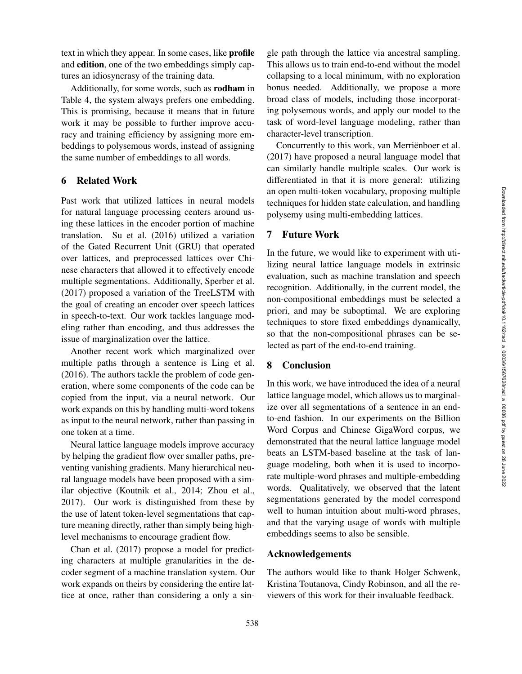text in which they appear. In some cases, like profile and edition, one of the two embeddings simply captures an idiosyncrasy of the training data.

Additionally, for some words, such as rodham in Table 4, the system always prefers one embedding. This is promising, because it means that in future work it may be possible to further improve accuracy and training efficiency by assigning more embeddings to polysemous words, instead of assigning the same number of embeddings to all words.

# 6 Related Work

Past work that utilized lattices in neural models for natural language processing centers around using these lattices in the encoder portion of machine translation. Su et al. (2016) utilized a variation of the Gated Recurrent Unit (GRU) that operated over lattices, and preprocessed lattices over Chinese characters that allowed it to effectively encode multiple segmentations. Additionally, Sperber et al. (2017) proposed a variation of the TreeLSTM with the goal of creating an encoder over speech lattices in speech-to-text. Our work tackles language modeling rather than encoding, and thus addresses the issue of marginalization over the lattice.

Another recent work which marginalized over multiple paths through a sentence is Ling et al. (2016). The authors tackle the problem of code generation, where some components of the code can be copied from the input, via a neural network. Our work expands on this by handling multi-word tokens as input to the neural network, rather than passing in one token at a time.

Neural lattice language models improve accuracy by helping the gradient flow over smaller paths, preventing vanishing gradients. Many hierarchical neural language models have been proposed with a similar objective (Koutnik et al., 2014; Zhou et al., 2017). Our work is distinguished from these by the use of latent token-level segmentations that capture meaning directly, rather than simply being highlevel mechanisms to encourage gradient flow.

Chan et al. (2017) propose a model for predicting characters at multiple granularities in the decoder segment of a machine translation system. Our work expands on theirs by considering the entire lattice at once, rather than considering a only a single path through the lattice via ancestral sampling. This allows us to train end-to-end without the model collapsing to a local minimum, with no exploration bonus needed. Additionally, we propose a more broad class of models, including those incorporating polysemous words, and apply our model to the task of word-level language modeling, rather than character-level transcription.

Concurrently to this work, van Merriënboer et al. (2017) have proposed a neural language model that can similarly handle multiple scales. Our work is differentiated in that it is more general: utilizing an open multi-token vocabulary, proposing multiple techniques for hidden state calculation, and handling polysemy using multi-embedding lattices.

# 7 Future Work

In the future, we would like to experiment with utilizing neural lattice language models in extrinsic evaluation, such as machine translation and speech recognition. Additionally, in the current model, the non-compositional embeddings must be selected a priori, and may be suboptimal. We are exploring techniques to store fixed embeddings dynamically, so that the non-compositional phrases can be selected as part of the end-to-end training.

# 8 Conclusion

In this work, we have introduced the idea of a neural lattice language model, which allows us to marginalize over all segmentations of a sentence in an endto-end fashion. In our experiments on the Billion Word Corpus and Chinese GigaWord corpus, we demonstrated that the neural lattice language model beats an LSTM-based baseline at the task of language modeling, both when it is used to incorporate multiple-word phrases and multiple-embedding words. Qualitatively, we observed that the latent segmentations generated by the model correspond well to human intuition about multi-word phrases, and that the varying usage of words with multiple embeddings seems to also be sensible.

### Acknowledgements

The authors would like to thank Holger Schwenk, Kristina Toutanova, Cindy Robinson, and all the reviewers of this work for their invaluable feedback.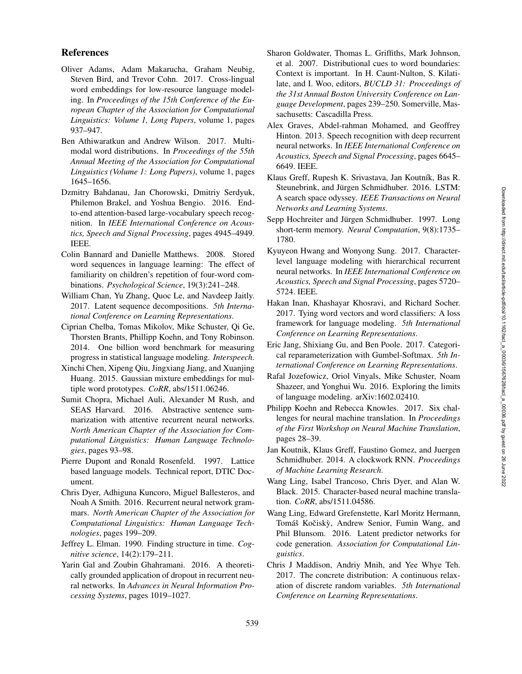### References

- Oliver Adams, Adam Makarucha, Graham Neubig, Steven Bird, and Trevor Cohn. 2017. Cross-lingual word embeddings for low-resource language modeling. In *Proceedings of the 15th Conference of the European Chapter of the Association for Computational Linguistics: Volume 1, Long Papers*, volume 1, pages 937–947.
- Ben Athiwaratkun and Andrew Wilson. 2017. Multimodal word distributions. In *Proceedings of the 55th Annual Meeting of the Association for Computational Linguistics (Volume 1: Long Papers)*, volume 1, pages 1645–1656.
- Dzmitry Bahdanau, Jan Chorowski, Dmitriy Serdyuk, Philemon Brakel, and Yoshua Bengio. 2016. Endto-end attention-based large-vocabulary speech recognition. In *IEEE International Conference on Acoustics, Speech and Signal Processing*, pages 4945–4949. IEEE.
- Colin Bannard and Danielle Matthews. 2008. Stored word sequences in language learning: The effect of familiarity on children's repetition of four-word combinations. *Psychological Science*, 19(3):241–248.
- William Chan, Yu Zhang, Quoc Le, and Navdeep Jaitly. 2017. Latent sequence decompositions. *5th International Conference on Learning Representations*.
- Ciprian Chelba, Tomas Mikolov, Mike Schuster, Qi Ge, Thorsten Brants, Phillipp Koehn, and Tony Robinson. 2014. One billion word benchmark for measuring progress in statistical language modeling. *Interspeech* .
- Xinchi Chen, Xipeng Qiu, Jingxiang Jiang, and Xuanjing Huang. 2015. Gaussian mixture embeddings for multiple word prototypes. *CoRR*, abs/1511.06246.
- Sumit Chopra, Michael Auli, Alexander M Rush, and SEAS Harvard. 2016. Abstractive sentence summarization with attentive recurrent neural networks. *North American Chapter of the Association for Computational Linguistics: Human Language Technologies*, pages 93–98.
- Pierre Dupont and Ronald Rosenfeld. 1997. Lattice based language models. Technical report, DTIC Document.
- Chris Dyer, Adhiguna Kuncoro, Miguel Ballesteros, and Noah A Smith. 2016. Recurrent neural network grammars. *North American Chapter of the Association for Computational Linguistics: Human Language Technologies*, pages 199–209.
- Jeffrey L. Elman. 1990. Finding structure in time. *Cognitive science*, 14(2):179–211.
- Yarin Gal and Zoubin Ghahramani. 2016. A theoretically grounded application of dropout in recurrent neural networks. In *Advances in Neural Information Processing Systems*, pages 1019–1027.
- Sharon Goldwater, Thomas L. Griffiths, Mark Johnson, et al. 2007. Distributional cues to word boundaries: Context is important. In H. Caunt-Nulton, S. Kilatilate, and I. Woo, editors, *BUCLD 31: Proceedings of the 31st Annual Boston University Conference on Language Development*, pages 239–250. Somerville, Massachusetts: Cascadilla Press.
- Alex Graves, Abdel-rahman Mohamed, and Geoffrey Hinton. 2013. Speech recognition with deep recurrent neural networks. In *IEEE International Conference on Acoustics, Speech and Signal Processing*, pages 6645– 6649. IEEE.
- Klaus Greff, Rupesh K. Srivastava, Jan Koutník, Bas R. Steunebrink, and Jürgen Schmidhuber. 2016. LSTM: A search space odyssey. *IEEE Transactions on Neural Networks and Learning Systems* .
- Sepp Hochreiter and Jürgen Schmidhuber. 1997. Long short-term memory. *Neural Computation*, 9(8):1735– 1780.
- Kyuyeon Hwang and Wonyong Sung. 2017. Characterlevel language modeling with hierarchical recurrent neural networks. In *IEEE International Conference on Acoustics, Speech and Signal Processing*, pages 5720– 5724. IEEE.
- Hakan Inan, Khashayar Khosravi, and Richard Socher. 2017. Tying word vectors and word classifiers: A loss framework for language modeling. *5th International Conference on Learning Representations* .
- Eric Jang, Shixiang Gu, and Ben Poole. 2017. Categorical reparameterization with Gumbel-Softmax. *5th International Conference on Learning Representations*.
- Rafal Jozefowicz, Oriol Vinyals, Mike Schuster, Noam Shazeer, and Yonghui Wu. 2016. Exploring the limits of language modeling. arXiv:1602.02410.
- Philipp Koehn and Rebecca Knowles. 2017. Six challenges for neural machine translation. In *Proceedings of the First Workshop on Neural Machine Translation* , pages 28–39.
- Jan Koutnik, Klaus Greff, Faustino Gomez, and Juergen Schmidhuber. 2014. A clockwork RNN. *Proceedings of Machine Learning Research* .
- Wang Ling, Isabel Trancoso, Chris Dyer, and Alan W. Black. 2015. Character-based neural machine translation. *CoRR*, abs/1511.04586.
- Wang Ling, Edward Grefenstette, Karl Moritz Hermann, Tomáš Kočiskỳ, Andrew Senior, Fumin Wang, and Phil Blunsom. 2016. Latent predictor networks for code generation. *Association for Computational Linguistics*.
- Chris J Maddison, Andriy Mnih, and Yee Whye Teh. 2017. The concrete distribution: A continuous relaxation of discrete random variables. *5th International Conference on Learning Representations* .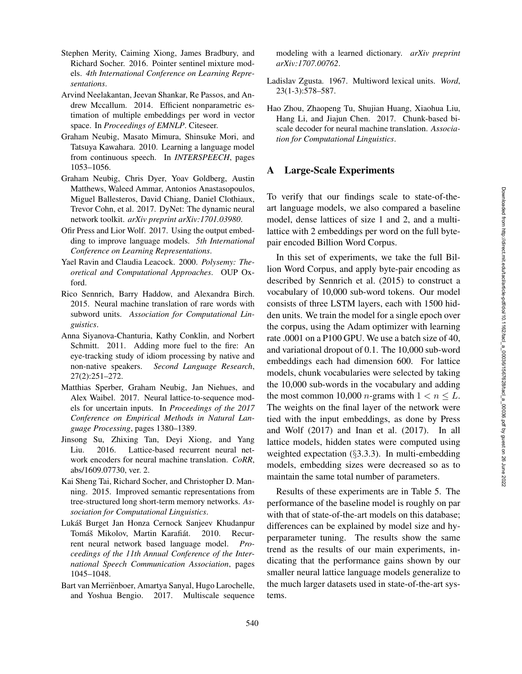- Stephen Merity, Caiming Xiong, James Bradbury, and Richard Socher. 2016. Pointer sentinel mixture models. *4th International Conference on Learning Representations*.
- Arvind Neelakantan, Jeevan Shankar, Re Passos, and Andrew Mccallum. 2014. Efficient nonparametric estimation of multiple embeddings per word in vector space. In *Proceedings of EMNLP*. Citeseer.
- Graham Neubig, Masato Mimura, Shinsuke Mori, and Tatsuya Kawahara. 2010. Learning a language model from continuous speech. In *INTERSPEECH*, pages 1053–1056.
- Graham Neubig, Chris Dyer, Yoav Goldberg, Austin Matthews, Waleed Ammar, Antonios Anastasopoulos, Miguel Ballesteros, David Chiang, Daniel Clothiaux, Trevor Cohn, et al. 2017. DyNet: The dynamic neural network toolkit. *arXiv preprint arXiv:1701.03980* .
- Ofir Press and Lior Wolf. 2017. Using the output embedding to improve language models. *5th International Conference on Learning Representations* .
- Yael Ravin and Claudia Leacock. 2000. *Polysemy: Theoretical and Computational Approaches*. OUP Oxford.
- Rico Sennrich, Barry Haddow, and Alexandra Birch. 2015. Neural machine translation of rare words with subword units. *Association for Computational Linguistics*.
- Anna Siyanova-Chanturia, Kathy Conklin, and Norbert Schmitt. 2011. Adding more fuel to the fire: An eye-tracking study of idiom processing by native and non-native speakers. *Second Language Research* , 27(2):251–272.
- Matthias Sperber, Graham Neubig, Jan Niehues, and Alex Waibel. 2017. Neural lattice-to-sequence models for uncertain inputs. In *Proceedings of the 2017 Conference on Empirical Methods in Natural Language Processing*, pages 1380–1389.
- Jinsong Su, Zhixing Tan, Deyi Xiong, and Yang Liu. 2016. Lattice-based recurrent neural network encoders for neural machine translation. *CoRR*, abs/1609.07730, ver. 2.
- Kai Sheng Tai, Richard Socher, and Christopher D. Manning. 2015. Improved semantic representations from tree-structured long short-term memory networks. *Association for Computational Linguistics*.
- Lukáš Burget Jan Honza Cernock Sanjeev Khudanpur Tomáš Mikolov, Martin Karafiát. 2010. Recurrent neural network based language model. *Proceedings of the 11th Annual Conference of the International Speech Communication Association*, pages 1045–1048.
- Bart van Merrienboer, Amartya Sanyal, Hugo Larochelle, ¨ and Yoshua Bengio. 2017. Multiscale sequence

modeling with a learned dictionary. *arXiv preprint arXiv:1707.00762* .

- Ladislav Zgusta. 1967. Multiword lexical units. *Word* , 23(1-3):578–587.
- Hao Zhou, Zhaopeng Tu, Shujian Huang, Xiaohua Liu, Hang Li, and Jiajun Chen. 2017. Chunk-based biscale decoder for neural machine translation. *Association for Computational Linguistics*.

### A Large-Scale Experiments

To verify that our findings scale to state-of-theart language models, we also compared a baseline model, dense lattices of size 1 and 2, and a multilattice with 2 embeddings per word on the full bytepair encoded Billion Word Corpus.

In this set of experiments, we take the full Billion Word Corpus, and apply byte-pair encoding as described by Sennrich et al. (2015) to construct a vocabulary of 10,000 sub-word tokens. Our model consists of three LSTM layers, each with 1500 hidden units. We train the model for a single epoch over the corpus, using the Adam optimizer with learning rate .0001 on a P100 GPU. We use a batch size of 40, and variational dropout of 0.1. The 10,000 sub-word embeddings each had dimension 600. For lattice models, chunk vocabularies were selected by taking the 10,000 sub-words in the vocabulary and adding the most common 10,000 *n*-grams with  $1 < n \leq L$ . The weights on the final layer of the network were tied with the input embeddings, as done by Press and Wolf (2017) and Inan et al. (2017). In all lattice models, hidden states were computed using weighted expectation ( §3.3.3). In multi-embedding models, embedding sizes were decreased so as to maintain the same total number of parameters.

Results of these experiments are in Table 5. The performance of the baseline model is roughly on par with that of state-of-the-art models on this database; differences can be explained by model size and hyperparameter tuning. The results show the same trend as the results of our main experiments, indicating that the performance gains shown by our smaller neural lattice language models generalize to the much larger datasets used in state-of-the-art systems.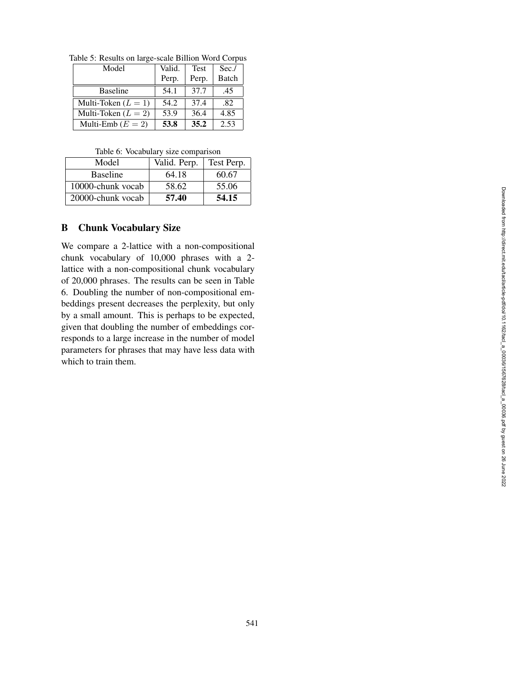Table 5: Results on large-scale Billion Word Corpus

| Model                 | Valid. | <b>Test</b> | Sec.         |
|-----------------------|--------|-------------|--------------|
|                       | Perp.  | Perp.       | <b>Batch</b> |
| <b>Baseline</b>       | 54.1   | 37.7        | .45          |
| Multi-Token $(L = 1)$ | 54.2   | 37.4        | .82          |
| Multi-Token $(L = 2)$ | 53.9   | 36.4        | 4.85         |
| Multi-Emb $(E = 2)$   | 53.8   | 35.2        | 2.53         |

Table 6: Vocabulary size comparison

| Model             | Valid. Perp. | Test Perp. |
|-------------------|--------------|------------|
| <b>Baseline</b>   | 64.18        | 60.67      |
| 10000-chunk vocab | 58.62        | 55.06      |
| 20000-chunk vocab | 57.40        | 54.15      |

# B Chunk Vocabulary Size

We compare a 2-lattice with a non-compositional chunk vocabulary of 10,000 phrases with a 2 lattice with a non-compositional chunk vocabulary of 20,000 phrases. The results can be seen in Table 6. Doubling the number of non-compositional embeddings present decreases the perplexity, but only by a small amount. This is perhaps to be expected, given that doubling the number of embeddings corresponds to a large increase in the number of model parameters for phrases that may have less data with which to train them.